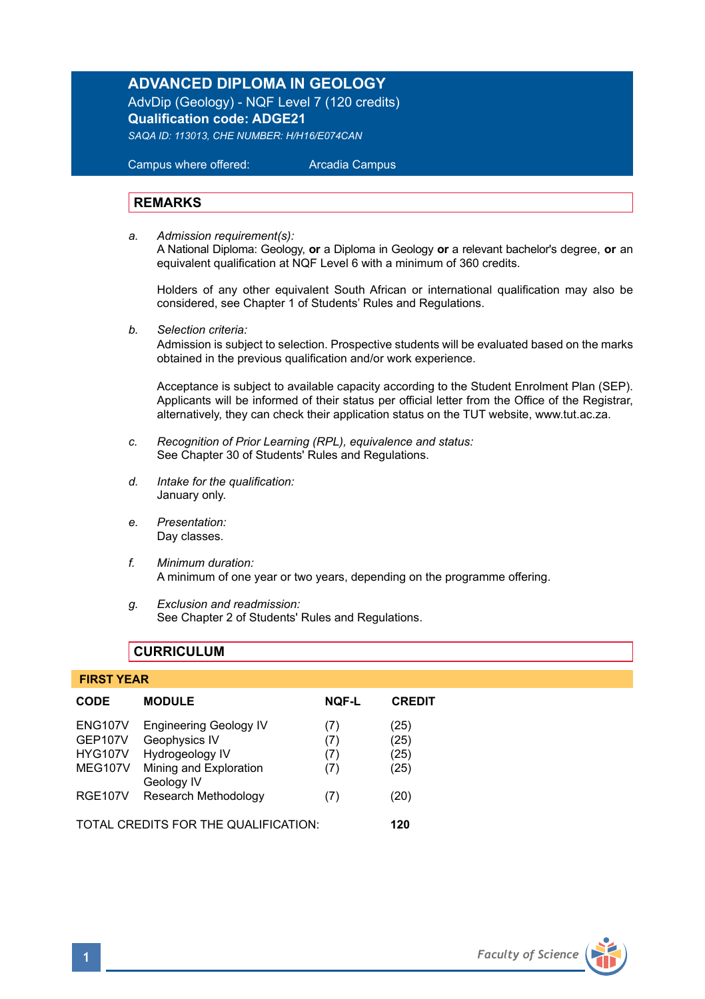# **ADVANCED DIPLOMA IN GEOLOGY**

AdvDip (Geology) - NQF Level 7 (120 credits) **Qualification code: ADGE21** *SAQA ID: 113013, CHE NUMBER: H/H16/E074CAN* 

 Campus where offered: Arcadia Campus

#### **REMARKS**

*a. Admission requirement(s):*  A National Diploma: Geology, **or** a Diploma in Geology **or** a relevant bachelor's degree, **or** an equivalent qualification at NQF Level 6 with a minimum of 360 credits.

Holders of any other equivalent South African or international qualification may also be considered, see Chapter 1 of Students' Rules and Regulations.

*b. Selection criteria:*

Admission is subject to selection. Prospective students will be evaluated based on the marks obtained in the previous qualification and/or work experience.

Acceptance is subject to available capacity according to the Student Enrolment Plan (SEP). Applicants will be informed of their status per official letter from the Office of the Registrar, alternatively, they can check their application status on the TUT website, www.tut.ac.za.

- *c. Recognition of Prior Learning (RPL), equivalence and status:* See Chapter 30 of Students' Rules and Regulations.
- *d. Intake for the qualification:* January only.
- *e. Presentation:* Day classes.
- *f. Minimum duration:* A minimum of one year or two years, depending on the programme offering.
- *g. Exclusion and readmission:* See Chapter 2 of Students' Rules and Regulations.

# **CURRICULUM**

#### **FIRST YEAR**

| <b>CODE</b>                                                   | <b>MODULE</b>                                                                               | <b>NOF-L</b>             | <b>CREDIT</b>                |
|---------------------------------------------------------------|---------------------------------------------------------------------------------------------|--------------------------|------------------------------|
| <b>ENG107V</b><br><b>GEP107V</b><br><b>HYG107V</b><br>MEG107V | <b>Engineering Geology IV</b><br>Geophysics IV<br>Hydrogeology IV<br>Mining and Exploration | (7)<br>(7)<br>(7)<br>(7) | (25)<br>(25)<br>(25)<br>(25) |
| <b>RGE107V</b>                                                | Geology IV<br>Research Methodology                                                          | (7)                      | (20)                         |
| TOTAL CREDITS FOR THE QUALIFICATION:                          |                                                                                             |                          | 120                          |